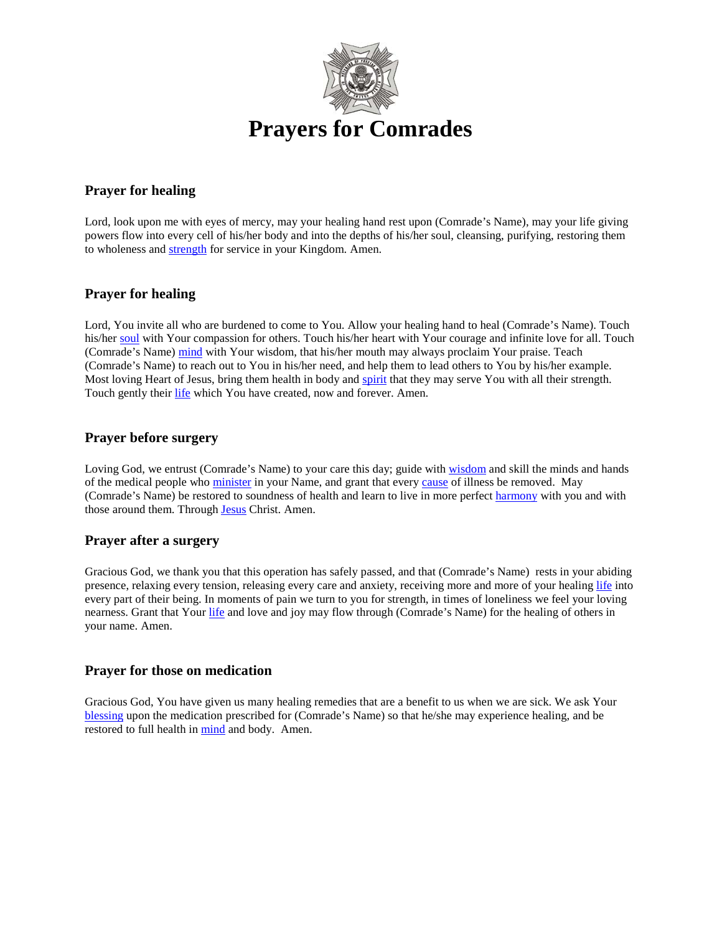

## **Prayer for healing**

Lord, look upon me with eyes of mercy, may your healing hand rest upon (Comrade's Name), may your life giving powers flow into every cell of his/her body and into the depths of his/her soul, cleansing, purifying, restoring them to wholeness and [strength](http://www.catholic.org/prayers/prayer.php?p=2917) for service in your Kingdom. Amen.

## **Prayer for healing**

Lord, You invite all who are burdened to come to You. Allow your healing hand to heal (Comrade's Name). Touch his/her [soul](http://www.catholic.org/encyclopedia/view.php?id=10963) with Your compassion for others. Touch his/her heart with Your courage and infinite love for all. Touch (Comrade's Name) [mind](http://www.catholic.org/encyclopedia/view.php?id=8001) with Your wisdom, that his/her mouth may always proclaim Your praise. Teach (Comrade's Name) to reach out to You in his/her need, and help them to lead others to You by his/her example. Most loving Heart of Jesus, bring them health in body and [spirit](http://www.catholic.org/encyclopedia/view.php?id=11004) that they may serve You with all their strength. Touch gently their [life](http://www.catholic.org/encyclopedia/view.php?id=7101) which You have created, now and forever. Amen.

### **Prayer before surgery**

Loving God, we entrust (Comrade's Name) to your care this day; guide with [wisdom](http://www.catholic.org/bible/book.php?id=27) and skill the minds and hands of the medical people who [minister](http://www.catholic.org/encyclopedia/view.php?id=8005) in your Name, and grant that every [cause](http://www.catholic.org/encyclopedia/view.php?id=2693) of illness be removed. May (Comrade's Name) be restored to soundness of health and learn to live in more perfect [harmony](http://www.catholic.org/encyclopedia/view.php?id=5535) with you and with those around them. Through [Jesus](http://www.catholic.org/clife/jesus) Christ. Amen.

#### **Prayer after a surgery**

Gracious God, we thank you that this operation has safely passed, and that (Comrade's Name) rests in your abiding presence, relaxing every tension, releasing every care and anxiety, receiving more and more of your healing [life](http://www.catholic.org/encyclopedia/view.php?id=7101) into every part of their being. In moments of pain we turn to you for strength, in times of loneliness we feel your loving nearness. Grant that Your [life](http://www.catholic.org/encyclopedia/view.php?id=7101) and love and joy may flow through (Comrade's Name) for the healing of others in your name. Amen.

## **Prayer for those on medication**

Gracious God, You have given us many healing remedies that are a benefit to us when we are sick. We ask Your [blessing](http://www.catholic.org/encyclopedia/view.php?id=1948) upon the medication prescribed for (Comrade's Name) so that he/she may experience healing, and be restored to full health i[n mind](http://www.catholic.org/encyclopedia/view.php?id=8001) and body. Amen.